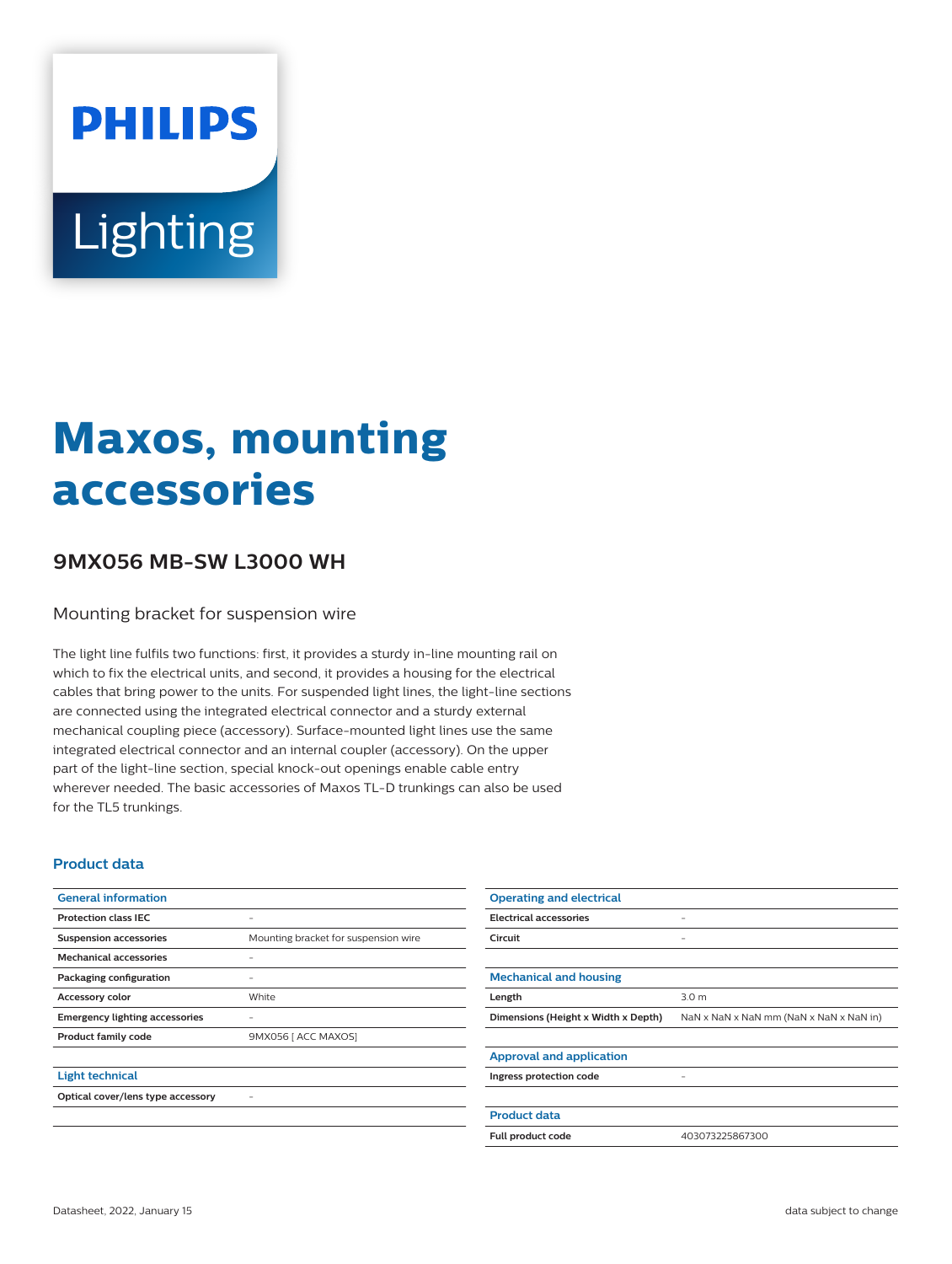# **PHILIPS** Lighting

## **Maxos, mounting accessories**

### **9MX056 MB-SW L3000 WH**

Mounting bracket for suspension wire

The light line fulfils two functions: first, it provides a sturdy in-line mounting rail on which to fix the electrical units, and second, it provides a housing for the electrical cables that bring power to the units. For suspended light lines, the light-line sections are connected using the integrated electrical connector and a sturdy external mechanical coupling piece (accessory). Surface-mounted light lines use the same integrated electrical connector and an internal coupler (accessory). On the upper part of the light-line section, special knock-out openings enable cable entry wherever needed. The basic accessories of Maxos TL-D trunkings can also be used for the TL5 trunkings.

#### **Product data**

| <b>General information</b>            |                                      | <b>Operating and electrical</b>     |                                         |
|---------------------------------------|--------------------------------------|-------------------------------------|-----------------------------------------|
| <b>Protection class IEC</b>           | ٠                                    | <b>Electrical accessories</b>       |                                         |
| <b>Suspension accessories</b>         | Mounting bracket for suspension wire | Circuit                             | $\overline{\phantom{a}}$                |
| <b>Mechanical accessories</b>         |                                      |                                     |                                         |
| Packaging configuration               | ٠                                    | <b>Mechanical and housing</b>       |                                         |
| <b>Accessory color</b>                | White                                | Length                              | 3.0 <sub>m</sub>                        |
| <b>Emergency lighting accessories</b> | ۰                                    | Dimensions (Height x Width x Depth) | NaN x NaN x NaN mm (NaN x NaN x NaN in) |
| Product family code                   | 9MX056   ACC MAXOS]                  |                                     |                                         |
|                                       |                                      | <b>Approval and application</b>     |                                         |
| <b>Light technical</b>                |                                      | Ingress protection code             | -                                       |
| Optical cover/lens type accessory     | ۰                                    |                                     |                                         |
|                                       |                                      | <b>Product data</b>                 |                                         |
|                                       |                                      | Full product code                   | 403073225867300                         |

Datasheet, 2022, January 15 data subject to change